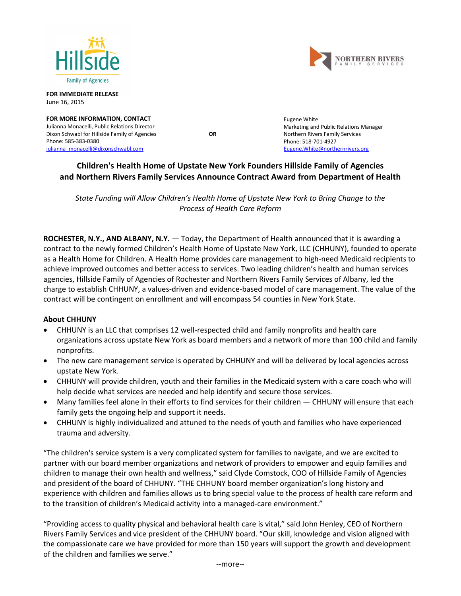



**FOR IMMEDIATE RELEASE** June 16, 2015

**FOR MORE INFORMATION, CONTACT** Julianna Monacelli, Public Relations Director Dixon Schwabl for Hillside Family of Agencies **OR** Phone: 585-383-0380 julianna monacelli@dixonschwabl.com

Eugene White Marketing and Public Relations Manager Northern Rivers Family Services Phone: 518-701-4927 [Eugene.White@northernrivers.org](mailto:Eugene.White@northernrivers.org)

# **Children's Health Home of Upstate New York Founders Hillside Family of Agencies and Northern Rivers Family Services Announce Contract Award from Department of Health**

*State Funding will Allow Children's Health Home of Upstate New York to Bring Change to the Process of Health Care Reform*

**ROCHESTER, N.Y., AND ALBANY, N.Y.** — Today, the Department of Health announced that it is awarding a contract to the newly formed Children's Health Home of Upstate New York, LLC (CHHUNY), founded to operate as a Health Home for Children. A Health Home provides care management to high-need Medicaid recipients to achieve improved outcomes and better access to services. Two leading children's health and human services agencies, Hillside Family of Agencies of Rochester and Northern Rivers Family Services of Albany, led the charge to establish CHHUNY, a values-driven and evidence-based model of care management. The value of the contract will be contingent on enrollment and will encompass 54 counties in New York State.

## **About CHHUNY**

- CHHUNY is an LLC that comprises 12 well-respected child and family nonprofits and health care organizations across upstate New York as board members and a network of more than 100 child and family nonprofits.
- The new care management service is operated by CHHUNY and will be delivered by local agencies across upstate New York.
- CHHUNY will provide children, youth and their families in the Medicaid system with a care coach who will help decide what services are needed and help identify and secure those services.
- Many families feel alone in their efforts to find services for their children CHHUNY will ensure that each family gets the ongoing help and support it needs.
- CHHUNY is highly individualized and attuned to the needs of youth and families who have experienced trauma and adversity.

"The children's service system is a very complicated system for families to navigate, and we are excited to partner with our board member organizations and network of providers to empower and equip families and children to manage their own health and wellness," said Clyde Comstock, COO of Hillside Family of Agencies and president of the board of CHHUNY. "THE CHHUNY board member organization's long history and experience with children and families allows us to bring special value to the process of health care reform and to the transition of children's Medicaid activity into a managed-care environment."

"Providing access to quality physical and behavioral health care is vital," said John Henley, CEO of Northern Rivers Family Services and vice president of the CHHUNY board. "Our skill, knowledge and vision aligned with the compassionate care we have provided for more than 150 years will support the growth and development of the children and families we serve."